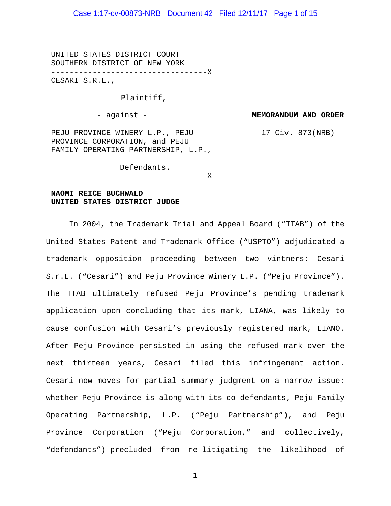# Case 1:17-cv-00873-NRB Document 42 Filed 12/11/17 Page 1 of 15

UNITED STATES DISTRICT COURT SOUTHERN DISTRICT OF NEW YORK ----------------------------------X CESARI S.R.L.,

Plaintiff,

- against -

**MEMORANDUM AND ORDER**

17 Civ. 873(NRB)

PEJU PROVINCE WINERY L.P., PEJU PROVINCE CORPORATION, and PEJU FAMILY OPERATING PARTNERSHIP, L.P.,

Defendants.

----------------------------------X

# **NAOMI REICE BUCHWALD UNITED STATES DISTRICT JUDGE**

In 2004, the Trademark Trial and Appeal Board ("TTAB") of the United States Patent and Trademark Office ("USPTO") adjudicated a trademark opposition proceeding between two vintners: Cesari S.r.L. ("Cesari") and Peju Province Winery L.P. ("Peju Province"). The TTAB ultimately refused Peju Province's pending trademark application upon concluding that its mark, LIANA, was likely to cause confusion with Cesari's previously registered mark, LIANO. After Peju Province persisted in using the refused mark over the next thirteen years, Cesari filed this infringement action. Cesari now moves for partial summary judgment on a narrow issue: whether Peju Province is—along with its co-defendants, Peju Family Operating Partnership, L.P. ("Peju Partnership"), and Peju Province Corporation ("Peju Corporation," and collectively, "defendants")—precluded from re-litigating the likelihood of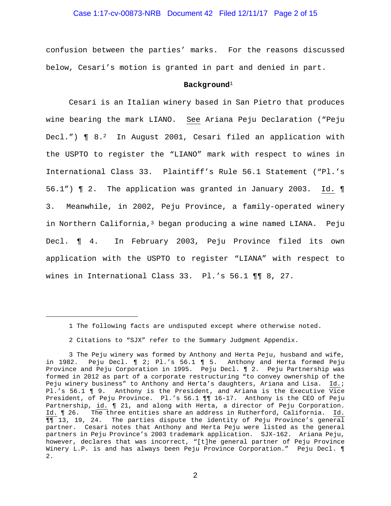#### Case 1:17-cv-00873-NRB Document 42 Filed 12/11/17 Page 2 of 15

confusion between the parties' marks. For the reasons discussed below, Cesari's motion is granted in part and denied in part.

#### **Background**<sup>1</sup>

Cesari is an Italian winery based in San Pietro that produces wine bearing the mark LIANO. See Ariana Peju Declaration ("Peju Decl.")  $\P$  8.<sup>2</sup> In August 2001, Cesari filed an application with the USPTO to register the "LIANO" mark with respect to wines in International Class 33. Plaintiff's Rule 56.1 Statement ("Pl.'s 56.1") ¶ 2. The application was granted in January 2003. Id. ¶ 3. Meanwhile, in 2002, Peju Province, a family-operated winery in Northern California, $3$  began producing a wine named LIANA. Peju Decl. ¶ 4. In February 2003, Peju Province filed its own application with the USPTO to register "LIANA" with respect to wines in International Class 33. Pl.'s 56.1 ¶¶ 8, 27.

i<br>I

<sup>1</sup> The following facts are undisputed except where otherwise noted.

<sup>2</sup> Citations to "SJX" refer to the Summary Judgment Appendix.

<sup>3</sup> The Peju winery was formed by Anthony and Herta Peju, husband and wife, in 1982. Peju Decl. ¶ 2; Pl.'s 56.1 ¶ 5. Anthony and Herta formed Peju Province and Peju Corporation in 1995. Peju Decl. ¶ 2. Peju Partnership was formed in 2012 as part of a corporate restructuring "to convey ownership of the Peju winery business" to Anthony and Herta's daughters, Ariana and Lisa. Id.; Pl.'s 56.1  $\blacksquare$  9. Anthony is the President, and Ariana is the Executive  $\overline{Vice}$ President, of Peju Province. Pl.'s 56.1 ¶¶ 16-17. Anthony is the CEO of Peju Partnership, id. 1 21, and along with Herta, a director of Peju Corporation. Id. ¶ 26. The three entities share an address in Rutherford, California. Id. ¶¶ 13, 19, 24. The parties dispute the identity of Peju Province's general partner. Cesari notes that Anthony and Herta Peju were listed as the general partners in Peju Province's 2003 trademark application. SJX-162. Ariana Peju, however, declares that was incorrect, "[t]he general partner of Peju Province Winery L.P. is and has always been Peju Province Corporation." Peju Decl. ¶ 2.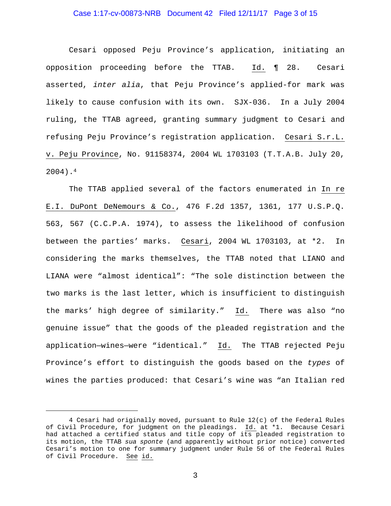#### Case 1:17-cv-00873-NRB Document 42 Filed 12/11/17 Page 3 of 15

Cesari opposed Peju Province's application, initiating an opposition proceeding before the TTAB. Id. ¶ 28. Cesari asserted, *inter alia*, that Peju Province's applied-for mark was likely to cause confusion with its own. SJX-036. In a July 2004 ruling, the TTAB agreed, granting summary judgment to Cesari and refusing Peju Province's registration application. Cesari S.r.L. v. Peju Province, No. 91158374, 2004 WL 1703103 (T.T.A.B. July 20, 2004).4

The TTAB applied several of the factors enumerated in In re E.I. DuPont DeNemours & Co., 476 F.2d 1357, 1361, 177 U.S.P.Q. 563, 567 (C.C.P.A. 1974), to assess the likelihood of confusion between the parties' marks. Cesari, 2004 WL 1703103, at \*2. In considering the marks themselves, the TTAB noted that LIANO and LIANA were "almost identical": "The sole distinction between the two marks is the last letter, which is insufficient to distinguish the marks' high degree of similarity." Id. There was also "no genuine issue" that the goods of the pleaded registration and the application—wines—were "identical." Id. The TTAB rejected Peju Province's effort to distinguish the goods based on the *types* of wines the parties produced: that Cesari's wine was "an Italian red

i<br>I

<sup>4</sup> Cesari had originally moved, pursuant to Rule 12(c) of the Federal Rules of Civil Procedure, for judgment on the pleadings. Id. at \*1. Because Cesari had attached a certified status and title copy of its pleaded registration to its motion, the TTAB *sua sponte* (and apparently without prior notice) converted Cesari's motion to one for summary judgment under Rule 56 of the Federal Rules of Civil Procedure. See id.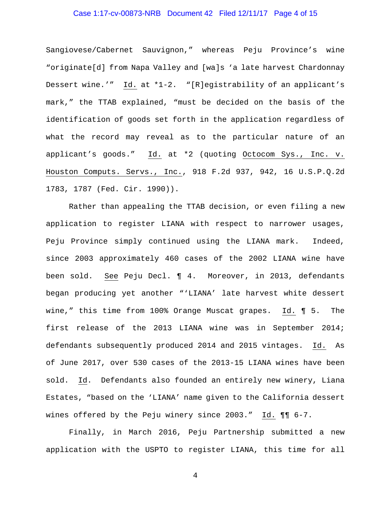# Case 1:17-cv-00873-NRB Document 42 Filed 12/11/17 Page 4 of 15

Sangiovese/Cabernet Sauvignon," whereas Peju Province's wine "originate[d] from Napa Valley and [wa]s 'a late harvest Chardonnay Dessert wine.'" Id. at \*1-2. "[R]egistrability of an applicant's mark," the TTAB explained, "must be decided on the basis of the identification of goods set forth in the application regardless of what the record may reveal as to the particular nature of an applicant's goods." Id. at \*2 (quoting Octocom Sys., Inc. v. Houston Computs. Servs., Inc., 918 F.2d 937, 942, 16 U.S.P.Q.2d 1783, 1787 (Fed. Cir. 1990)).

Rather than appealing the TTAB decision, or even filing a new application to register LIANA with respect to narrower usages, Peju Province simply continued using the LIANA mark. Indeed, since 2003 approximately 460 cases of the 2002 LIANA wine have been sold. See Peju Decl. ¶ 4. Moreover, in 2013, defendants began producing yet another "'LIANA' late harvest white dessert wine," this time from 100% Orange Muscat grapes. Id. ¶ 5. The first release of the 2013 LIANA wine was in September 2014; defendants subsequently produced 2014 and 2015 vintages. Id. As of June 2017, over 530 cases of the 2013-15 LIANA wines have been sold. Id. Defendants also founded an entirely new winery, Liana Estates, "based on the 'LIANA' name given to the California dessert wines offered by the Peju winery since 2003." Id.  $\P\P$  6-7.

Finally, in March 2016, Peju Partnership submitted a new application with the USPTO to register LIANA, this time for all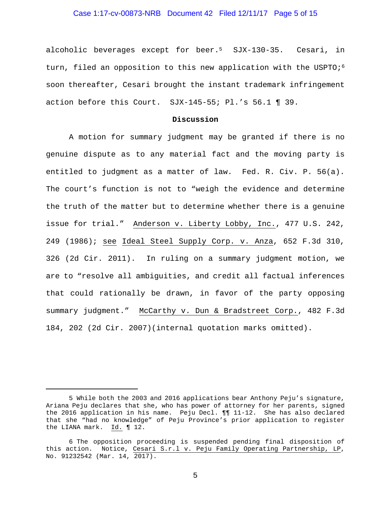#### Case 1:17-cv-00873-NRB Document 42 Filed 12/11/17 Page 5 of 15

alcoholic beverages except for beer.<sup>5</sup> SJX-130-35. Cesari, in turn, filed an opposition to this new application with the USPTO; $6$ soon thereafter, Cesari brought the instant trademark infringement action before this Court. SJX-145-55; Pl.'s 56.1 ¶ 39.

#### **Discussion**

A motion for summary judgment may be granted if there is no genuine dispute as to any material fact and the moving party is entitled to judgment as a matter of law. Fed. R. Civ. P. 56(a). The court's function is not to "weigh the evidence and determine the truth of the matter but to determine whether there is a genuine issue for trial." Anderson v. Liberty Lobby, Inc., 477 U.S. 242, 249 (1986); see Ideal Steel Supply Corp. v. Anza, 652 F.3d 310, 326 (2d Cir. 2011). In ruling on a summary judgment motion, we are to "resolve all ambiguities, and credit all factual inferences that could rationally be drawn, in favor of the party opposing summary judgment." McCarthy v. Dun & Bradstreet Corp., 482 F.3d 184, 202 (2d Cir. 2007)(internal quotation marks omitted).

i<br>I

<sup>5</sup> While both the 2003 and 2016 applications bear Anthony Peju's signature, Ariana Peju declares that she, who has power of attorney for her parents, signed the 2016 application in his name. Peju Decl. ¶¶ 11-12. She has also declared that she "had no knowledge" of Peju Province's prior application to register the LIANA mark. Id. ¶ 12.

<sup>6</sup> The opposition proceeding is suspended pending final disposition of this action. Notice, Cesari S.r.l v. Peju Family Operating Partnership, LP, No. 91232542 (Mar. 14, 2017).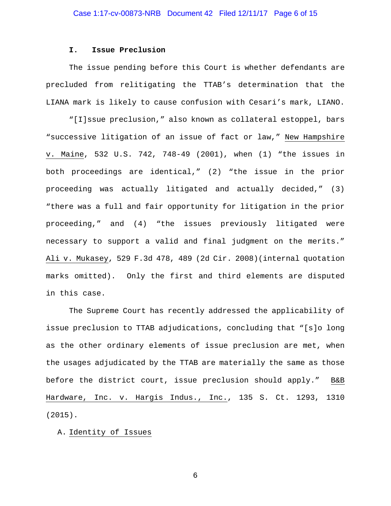#### **I. Issue Preclusion**

The issue pending before this Court is whether defendants are precluded from relitigating the TTAB's determination that the LIANA mark is likely to cause confusion with Cesari's mark, LIANO.

"[I]ssue preclusion," also known as collateral estoppel, bars "successive litigation of an issue of fact or law," New Hampshire v. Maine, 532 U.S. 742, 748-49 (2001), when (1) "the issues in both proceedings are identical," (2) "the issue in the prior proceeding was actually litigated and actually decided," (3) "there was a full and fair opportunity for litigation in the prior proceeding," and (4) "the issues previously litigated were necessary to support a valid and final judgment on the merits." Ali v. Mukasey, 529 F.3d 478, 489 (2d Cir. 2008)(internal quotation marks omitted). Only the first and third elements are disputed in this case.

The Supreme Court has recently addressed the applicability of issue preclusion to TTAB adjudications, concluding that "[s]o long as the other ordinary elements of issue preclusion are met, when the usages adjudicated by the TTAB are materially the same as those before the district court, issue preclusion should apply." B&B Hardware, Inc. v. Hargis Indus., Inc., 135 S. Ct. 1293, 1310 (2015).

A. Identity of Issues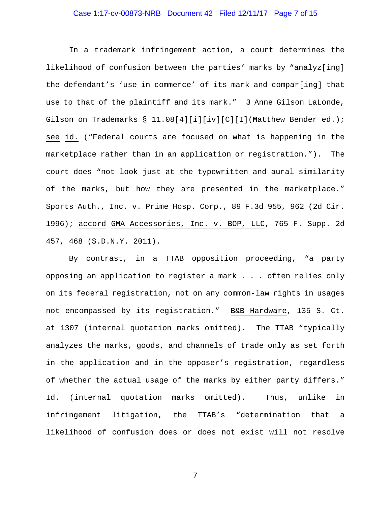# Case 1:17-cv-00873-NRB Document 42 Filed 12/11/17 Page 7 of 15

In a trademark infringement action, a court determines the likelihood of confusion between the parties' marks by "analyz[ing] the defendant's 'use in commerce' of its mark and compar[ing] that use to that of the plaintiff and its mark." 3 Anne Gilson LaLonde, Gilson on Trademarks § 11.08[4][i][iv][C][I](Matthew Bender ed.); see id. ("Federal courts are focused on what is happening in the marketplace rather than in an application or registration."). The court does "not look just at the typewritten and aural similarity of the marks, but how they are presented in the marketplace." Sports Auth., Inc. v. Prime Hosp. Corp., 89 F.3d 955, 962 (2d Cir. 1996); accord GMA Accessories, Inc. v. BOP, LLC, 765 F. Supp. 2d 457, 468 (S.D.N.Y. 2011).

By contrast, in a TTAB opposition proceeding, "a party opposing an application to register a mark . . . often relies only on its federal registration, not on any common-law rights in usages not encompassed by its registration." B&B Hardware, 135 S. Ct. at 1307 (internal quotation marks omitted). The TTAB "typically analyzes the marks, goods, and channels of trade only as set forth in the application and in the opposer's registration, regardless of whether the actual usage of the marks by either party differs." Id. (internal quotation marks omitted). Thus, unlike in infringement litigation, the TTAB's "determination that a likelihood of confusion does or does not exist will not resolve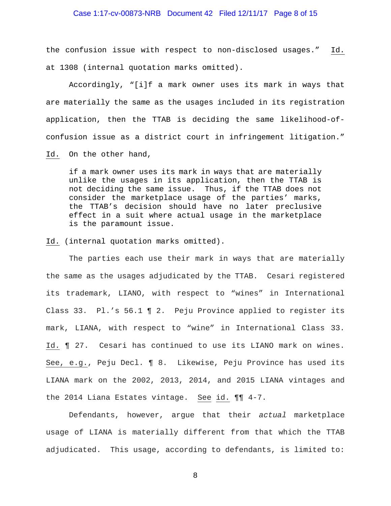#### Case 1:17-cv-00873-NRB Document 42 Filed 12/11/17 Page 8 of 15

the confusion issue with respect to non-disclosed usages." Id. at 1308 (internal quotation marks omitted).

Accordingly, "[i]f a mark owner uses its mark in ways that are materially the same as the usages included in its registration application, then the TTAB is deciding the same likelihood-ofconfusion issue as a district court in infringement litigation."

Id. On the other hand,

if a mark owner uses its mark in ways that are materially unlike the usages in its application, then the TTAB is not deciding the same issue. Thus, if the TTAB does not consider the marketplace usage of the parties' marks, the TTAB's decision should have no later preclusive effect in a suit where actual usage in the marketplace is the paramount issue.

Id. (internal quotation marks omitted).

 The parties each use their mark in ways that are materially the same as the usages adjudicated by the TTAB. Cesari registered its trademark, LIANO, with respect to "wines" in International Class 33. Pl.'s 56.1 ¶ 2. Peju Province applied to register its mark, LIANA, with respect to "wine" in International Class 33. Id. ¶ 27. Cesari has continued to use its LIANO mark on wines. See, e.g., Peju Decl. ¶ 8. Likewise, Peju Province has used its LIANA mark on the 2002, 2013, 2014, and 2015 LIANA vintages and the 2014 Liana Estates vintage. See id. ¶¶ 4-7.

Defendants, however, argue that their *actual* marketplace usage of LIANA is materially different from that which the TTAB adjudicated. This usage, according to defendants, is limited to: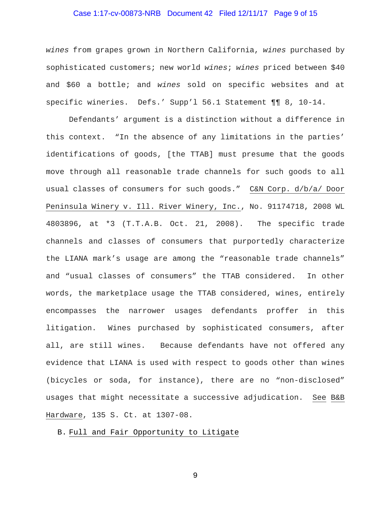# Case 1:17-cv-00873-NRB Document 42 Filed 12/11/17 Page 9 of 15

*wines* from grapes grown in Northern California, *wines* purchased by sophisticated customers; new world *wines*; *wines* priced between \$40 and \$60 a bottle; and *wines* sold on specific websites and at specific wineries. Defs.' Supp'l 56.1 Statement ¶¶ 8, 10-14.

Defendants' argument is a distinction without a difference in this context. "In the absence of any limitations in the parties' identifications of goods, [the TTAB] must presume that the goods move through all reasonable trade channels for such goods to all usual classes of consumers for such goods." C&N Corp. d/b/a/ Door Peninsula Winery v. Ill. River Winery, Inc., No. 91174718, 2008 WL 4803896, at \*3 (T.T.A.B. Oct. 21, 2008). The specific trade channels and classes of consumers that purportedly characterize the LIANA mark's usage are among the "reasonable trade channels" and "usual classes of consumers" the TTAB considered. In other words, the marketplace usage the TTAB considered, wines, entirely encompasses the narrower usages defendants proffer in this litigation. Wines purchased by sophisticated consumers, after all, are still wines. Because defendants have not offered any evidence that LIANA is used with respect to goods other than wines (bicycles or soda, for instance), there are no "non-disclosed" usages that might necessitate a successive adjudication. See B&B Hardware, 135 S. Ct. at 1307-08.

# B. Full and Fair Opportunity to Litigate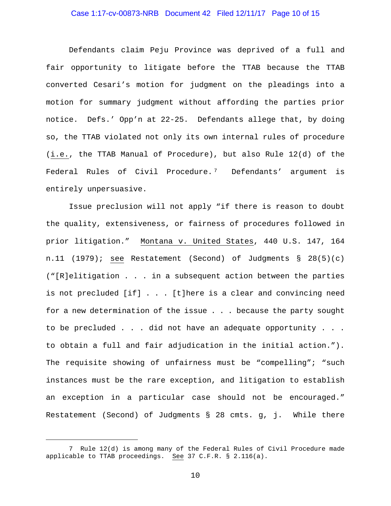# Case 1:17-cv-00873-NRB Document 42 Filed 12/11/17 Page 10 of 15

Defendants claim Peju Province was deprived of a full and fair opportunity to litigate before the TTAB because the TTAB converted Cesari's motion for judgment on the pleadings into a motion for summary judgment without affording the parties prior notice. Defs.' Opp'n at 22-25. Defendants allege that, by doing so, the TTAB violated not only its own internal rules of procedure (i.e., the TTAB Manual of Procedure), but also Rule 12(d) of the Federal Rules of Civil Procedure.<sup>7</sup> Defendants' argument is entirely unpersuasive.

Issue preclusion will not apply "if there is reason to doubt the quality, extensiveness, or fairness of procedures followed in prior litigation." Montana v. United States, 440 U.S. 147, 164 n.11 (1979); see Restatement (Second) of Judgments § 28(5)(c) ("[R]elitigation . . . in a subsequent action between the parties is not precluded [if] . . . [t]here is a clear and convincing need for a new determination of the issue . . . because the party sought to be precluded . . . did not have an adequate opportunity . . . to obtain a full and fair adjudication in the initial action."). The requisite showing of unfairness must be "compelling"; "such instances must be the rare exception, and litigation to establish an exception in a particular case should not be encouraged." Restatement (Second) of Judgments § 28 cmts. g, j. While there

i<br>I

<sup>7</sup> Rule 12(d) is among many of the Federal Rules of Civil Procedure made applicable to TTAB proceedings. See 37 C.F.R. § 2.116(a).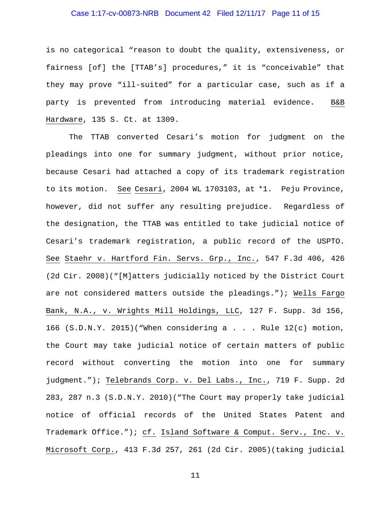# Case 1:17-cv-00873-NRB Document 42 Filed 12/11/17 Page 11 of 15

is no categorical "reason to doubt the quality, extensiveness, or fairness [of] the [TTAB's] procedures," it is "conceivable" that they may prove "ill-suited" for a particular case, such as if a party is prevented from introducing material evidence. B&B Hardware, 135 S. Ct. at 1309.

The TTAB converted Cesari's motion for judgment on the pleadings into one for summary judgment, without prior notice, because Cesari had attached a copy of its trademark registration to its motion. See Cesari, 2004 WL 1703103, at \*1. Peju Province, however, did not suffer any resulting prejudice. Regardless of the designation, the TTAB was entitled to take judicial notice of Cesari's trademark registration, a public record of the USPTO. See Staehr v. Hartford Fin. Servs. Grp., Inc., 547 F.3d 406, 426 (2d Cir. 2008)("[M]atters judicially noticed by the District Court are not considered matters outside the pleadings."); Wells Fargo Bank, N.A., v. Wrights Mill Holdings, LLC, 127 F. Supp. 3d 156, 166  $(S.D.N.Y. 2015)$  ("When considering a . . . Rule  $12(c)$  motion, the Court may take judicial notice of certain matters of public record without converting the motion into one for summary judgment."); Telebrands Corp. v. Del Labs., Inc., 719 F. Supp. 2d 283, 287 n.3 (S.D.N.Y. 2010)("The Court may properly take judicial notice of official records of the United States Patent and Trademark Office."); cf. Island Software & Comput. Serv., Inc. v. Microsoft Corp., 413 F.3d 257, 261 (2d Cir. 2005)(taking judicial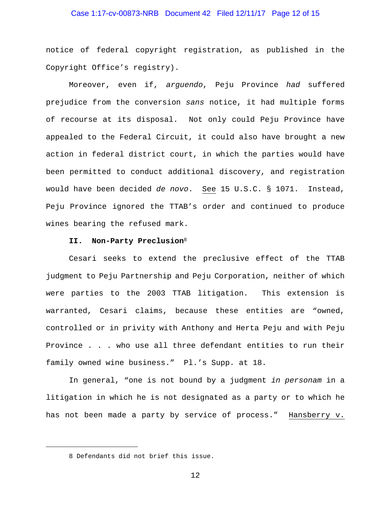# Case 1:17-cv-00873-NRB Document 42 Filed 12/11/17 Page 12 of 15

notice of federal copyright registration, as published in the Copyright Office's registry).

Moreover, even if, *arguendo*, Peju Province *had* suffered prejudice from the conversion *sans* notice, it had multiple forms of recourse at its disposal. Not only could Peju Province have appealed to the Federal Circuit, it could also have brought a new action in federal district court, in which the parties would have been permitted to conduct additional discovery, and registration would have been decided *de novo*. See 15 U.S.C. § 1071. Instead, Peju Province ignored the TTAB's order and continued to produce wines bearing the refused mark.

#### **II. Non-Party Preclusion**<sup>8</sup>

Cesari seeks to extend the preclusive effect of the TTAB judgment to Peju Partnership and Peju Corporation, neither of which were parties to the 2003 TTAB litigation. This extension is warranted, Cesari claims, because these entities are "owned, controlled or in privity with Anthony and Herta Peju and with Peju Province . . . who use all three defendant entities to run their family owned wine business." Pl.'s Supp. at 18.

In general, "one is not bound by a judgment *in personam* in a litigation in which he is not designated as a party or to which he has not been made a party by service of process." Hansberry v.

i<br>I

<sup>8</sup> Defendants did not brief this issue.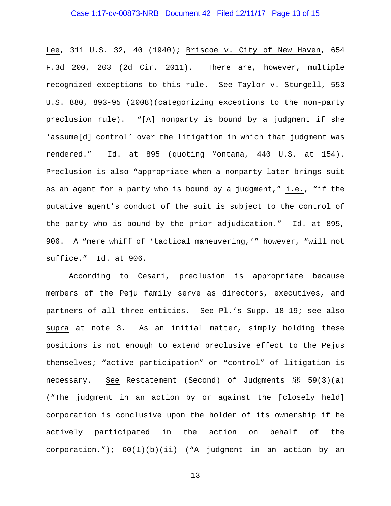# Case 1:17-cv-00873-NRB Document 42 Filed 12/11/17 Page 13 of 15

Lee, 311 U.S. 32, 40 (1940); Briscoe v. City of New Haven, 654 F.3d 200, 203 (2d Cir. 2011). There are, however, multiple recognized exceptions to this rule. See Taylor v. Sturgell, 553 U.S. 880, 893-95 (2008)(categorizing exceptions to the non-party preclusion rule). "[A] nonparty is bound by a judgment if she 'assume[d] control' over the litigation in which that judgment was rendered." Id. at 895 (quoting Montana, 440 U.S. at 154). Preclusion is also "appropriate when a nonparty later brings suit as an agent for a party who is bound by a judgment," i.e., "if the putative agent's conduct of the suit is subject to the control of the party who is bound by the prior adjudication." Id. at 895, 906. A "mere whiff of 'tactical maneuvering,'" however, "will not suffice." Id. at 906.

According to Cesari, preclusion is appropriate because members of the Peju family serve as directors, executives, and partners of all three entities. See Pl.'s Supp. 18-19; see also supra at note 3. As an initial matter, simply holding these positions is not enough to extend preclusive effect to the Pejus themselves; "active participation" or "control" of litigation is necessary. See Restatement (Second) of Judgments §§ 59(3)(a) ("The judgment in an action by or against the [closely held] corporation is conclusive upon the holder of its ownership if he actively participated in the action on behalf of the corporation."); 60(1)(b)(ii) ("A judgment in an action by an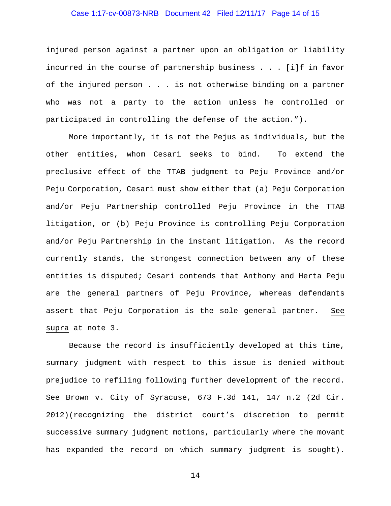# Case 1:17-cv-00873-NRB Document 42 Filed 12/11/17 Page 14 of 15

injured person against a partner upon an obligation or liability incurred in the course of partnership business . . . [i]f in favor of the injured person . . . is not otherwise binding on a partner who was not a party to the action unless he controlled or participated in controlling the defense of the action.").

More importantly, it is not the Pejus as individuals, but the other entities, whom Cesari seeks to bind. To extend the preclusive effect of the TTAB judgment to Peju Province and/or Peju Corporation, Cesari must show either that (a) Peju Corporation and/or Peju Partnership controlled Peju Province in the TTAB litigation, or (b) Peju Province is controlling Peju Corporation and/or Peju Partnership in the instant litigation. As the record currently stands, the strongest connection between any of these entities is disputed; Cesari contends that Anthony and Herta Peju are the general partners of Peju Province, whereas defendants assert that Peju Corporation is the sole general partner. See supra at note 3.

Because the record is insufficiently developed at this time, summary judgment with respect to this issue is denied without prejudice to refiling following further development of the record. See Brown v. City of Syracuse, 673 F.3d 141, 147 n.2 (2d Cir. 2012)(recognizing the district court's discretion to permit successive summary judgment motions, particularly where the movant has expanded the record on which summary judgment is sought).